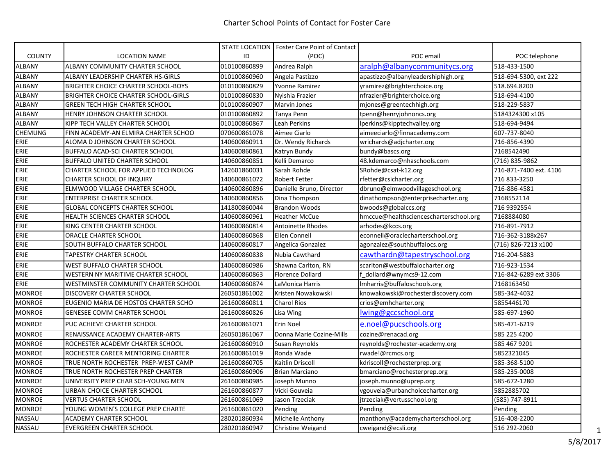|                |                                        |              | STATE LOCATION   Foster Care Point of Contact |                                        |                        |
|----------------|----------------------------------------|--------------|-----------------------------------------------|----------------------------------------|------------------------|
| <b>COUNTY</b>  | <b>LOCATION NAME</b>                   | ID           | (POC)                                         | POC email                              | POC telephone          |
| ALBANY         | ALBANY COMMUNITY CHARTER SCHOOL        | 010100860899 | Andrea Ralph                                  | aralph@albanycommunitycs.org           | 518-433-1500           |
| <b>ALBANY</b>  | ALBANY LEADERSHIP CHARTER HS-GIRLS     | 010100860960 | Angela Pastizzo                               | apastizzo@albanyleadershiphigh.org     | 518-694-5300, ext 222  |
| ALBANY         | BRIGHTER CHOICE CHARTER SCHOOL-BOYS    | 010100860829 | <b>Yvonne Ramirez</b>                         | yramirez@brighterchoice.org            | 518.694.8200           |
| <b>ALBANY</b>  | BRIGHTER CHOICE CHARTER SCHOOL-GIRLS   | 010100860830 | Nyishia Frazier                               | nfrazier@brighterchoice.org            | 518-694-4100           |
| <b>ALBANY</b>  | <b>GREEN TECH HIGH CHARTER SCHOOL</b>  | 010100860907 | <b>Marvin Jones</b>                           | mjones@greentechhigh.org               | 518-229-5837           |
| <b>ALBANY</b>  | HENRY JOHNSON CHARTER SCHOOL           | 010100860892 | Tanya Penn                                    | tpenn@henryjohnoncs.org                | 5184324300 x105        |
| <b>ALBANY</b>  | KIPP TECH VALLEY CHARTER SCHOOL        | 010100860867 | Leah Perkins                                  | lperkins@kipptechvalley.org            | 518-694-9494           |
| <b>CHEMUNG</b> | FINN ACADEMY-AN ELMIRA CHARTER SCHOO   | 070600861078 | Aimee Ciarlo                                  | aimeeciarlo@finnacademy.com            | 607-737-8040           |
| ERIE           | ALOMA D JOHNSON CHARTER SCHOOL         | 140600860911 | Dr. Wendy Richards                            | wrichards@adjcharter.org               | 716-856-4390           |
| ERIE           | <b>BUFFALO ACAD-SCI CHARTER SCHOOL</b> | 140600860861 | Katryn Bundy                                  | bundy@bascs.org                        | 7168542490             |
| ERIE           | <b>BUFFALO UNITED CHARTER SCHOOL</b>   | 140600860851 | Kelli Demarco                                 | 48.kdemarco@nhaschools.com             | (716) 835-9862         |
| ERIE           | CHARTER SCHOOL FOR APPLIED TECHNOLOG   | 142601860031 | Sarah Rohde                                   | SRohde@csat-k12.org                    | 716-871-7400 ext. 4106 |
| ERIE           | CHARTER SCHOOL OF INQUIRY              | 140600861072 | <b>Robert Fetter</b>                          | rfetter@csicharter.org                 | 716 833-3250           |
| ERIE           | ELMWOOD VILLAGE CHARTER SCHOOL         | 140600860896 | Danielle Bruno, Director                      | dbruno@elmwoodvillageschool.org        | 716-886-4581           |
| ERIE           | <b>ENTERPRISE CHARTER SCHOOL</b>       | 140600860856 | Dina Thompson                                 | dinathompson@enterprisecharter.org     | 7168552114             |
| ERIE           | <b>GLOBAL CONCEPTS CHARTER SCHOOL</b>  | 141800860044 | <b>Brandon Woods</b>                          | bwoods@globalccs.org                   | 716 9392554            |
| ERIE           | HEALTH SCIENCES CHARTER SCHOOL         | 140600860961 | <b>Heather McCue</b>                          | hmccue@healthsciencescharterschool.org | 7168884080             |
| ERIE           | KING CENTER CHARTER SCHOOL             | 140600860814 | <b>Antoinette Rhodes</b>                      | arhodes@kccs.org                       | 716-891-7912           |
| ERIE           | ORACLE CHARTER SCHOOL                  | 140600860868 | Ellen Connell                                 | econnell@oraclecharterschool.org       | 716-362-3188x267       |
| ERIE           | SOUTH BUFFALO CHARTER SCHOOL           | 140600860817 | Angelica Gonzalez                             | agonzalez@southbuffalocs.org           | (716) 826-7213 x100    |
| ERIE           | <b>TAPESTRY CHARTER SCHOOL</b>         | 140600860838 | Nubia Cawthard                                | cawthardn@tapestryschool.org           | 716-204-5883           |
| ERIE           | WEST BUFFALO CHARTER SCHOOL            | 140600860986 | Shawna Carlton, RN                            | scarlton@westbuffalocharter.org        | 716-923-1534           |
| ERIE           | WESTERN NY MARITIME CHARTER SCHOOL     | 140600860863 | <b>Florence Dollard</b>                       | dollard@wnymcs9-12.com                 | 716-842-6289 ext 3306  |
| ERIE           | WESTMINSTER COMMUNITY CHARTER SCHOOL   | 140600860874 | LaMonica Harris                               | Imharris@buffaloschools.org            | 7168163450             |
| <b>MONROE</b>  | DISCOVERY CHARTER SCHOOL               | 260501861002 | Kristen Nowakowski                            | knowakowski@rochesterdiscovery.com     | 585-342-4032           |
| <b>MONROE</b>  | EUGENIO MARIA DE HOSTOS CHARTER SCHO   | 261600860811 | <b>Charol Rios</b>                            | crios@emhcharter.org                   | 5855446170             |
| <b>MONROE</b>  | <b>GENESEE COMM CHARTER SCHOOL</b>     | 261600860826 | Lisa Wing                                     | lwing@gccschool.org                    | 585-697-1960           |
| <b>MONROE</b>  | PUC ACHIEVE CHARTER SCHOOL             | 261600861071 | Erin Noel                                     | e.noel@pucschools.org                  | 585-471-6219           |
| <b>MONROE</b>  | RENAISSANCE ACADEMY CHARTER-ARTS       | 260501861067 | Donna Marie Cozine-Mills                      | cozine@renacad.org                     | 585 225 4200           |
| <b>MONROE</b>  | ROCHESTER ACADEMY CHARTER SCHOOL       | 261600860910 | Susan Reynolds                                | reynolds@rochester-academy.org         | 585 467 9201           |
| <b>MONROE</b>  | ROCHESTER CAREER MENTORING CHARTER     | 261600861019 | Ronda Wade                                    | rwade!@rcmcs.org                       | 5852321045             |
| <b>MONROE</b>  | TRUE NORTH ROCHESTER PREP-WEST CAMP    | 261600860705 | Kaitlin Driscoll                              | kdriscoll@rochesterprep.org            | 585-368-5100           |
| <b>MONROE</b>  | TRUE NORTH ROCHESTER PREP CHARTER      | 261600860906 | <b>Brian Marciano</b>                         | bmarciano@rochesterprep.org            | 585-235-0008           |
| <b>MONROE</b>  | UNIVERSITY PREP CHAR SCH-YOUNG MEN     | 261600860985 | Joseph Munno                                  | joseph.munno@uprep.org                 | 585-672-1280           |
| <b>MONROE</b>  | URBAN CHOICE CHARTER SCHOOL            | 261600860877 | Vicki Gouveia                                 | vgouveia@urbanchoicecharter.org        | 5852885702             |
| <b>MONROE</b>  | <b>VERTUS CHARTER SCHOOL</b>           | 261600861069 | Jason Trzeciak                                | jtrzeciak@vertusschool.org             | (585) 747-8911         |
| <b>MONROE</b>  | YOUNG WOMEN'S COLLEGE PREP CHARTE      | 261600861020 | Pending                                       | Pending                                | Pending                |
| NASSAU         | ACADEMY CHARTER SCHOOL                 | 280201860934 | Michelle Anthony                              | manthony@academycharterschool.org      | 516-408-2200           |
| NASSAU         | <b>EVERGREEN CHARTER SCHOOL</b>        | 280201860947 | <b>Christine Weigand</b>                      | cweigand@ecsli.org                     | 516 292-2060           |